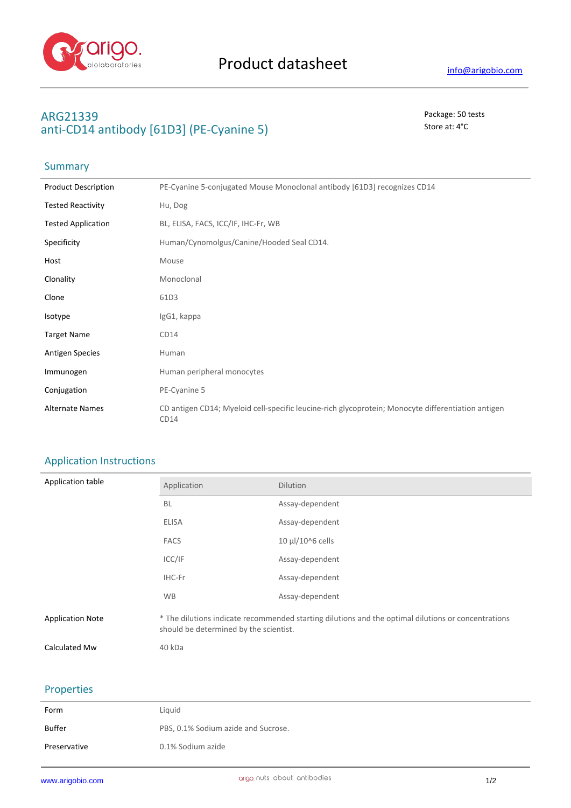

## **ARG21339** Package: 50 tests anti-CD14 antibody [61D3] (PE-Cyanine 5) Store at: 4<sup>°</sup>C

# Summary

| <b>Product Description</b> | PE-Cyanine 5-conjugated Mouse Monoclonal antibody [61D3] recognizes CD14                                   |
|----------------------------|------------------------------------------------------------------------------------------------------------|
| <b>Tested Reactivity</b>   | Hu, Dog                                                                                                    |
| <b>Tested Application</b>  | BL, ELISA, FACS, ICC/IF, IHC-Fr, WB                                                                        |
| Specificity                | Human/Cynomolgus/Canine/Hooded Seal CD14.                                                                  |
| Host                       | Mouse                                                                                                      |
| Clonality                  | Monoclonal                                                                                                 |
| Clone                      | 61D3                                                                                                       |
| Isotype                    | IgG1, kappa                                                                                                |
| <b>Target Name</b>         | CD14                                                                                                       |
| <b>Antigen Species</b>     | Human                                                                                                      |
| Immunogen                  | Human peripheral monocytes                                                                                 |
| Conjugation                | PE-Cyanine 5                                                                                               |
| <b>Alternate Names</b>     | CD antigen CD14; Myeloid cell-specific leucine-rich glycoprotein; Monocyte differentiation antigen<br>CD14 |

### Application Instructions

| Application table       | Application                                                                                                                                   | <b>Dilution</b>  |
|-------------------------|-----------------------------------------------------------------------------------------------------------------------------------------------|------------------|
|                         | <b>BL</b>                                                                                                                                     | Assay-dependent  |
|                         | <b>ELISA</b>                                                                                                                                  | Assay-dependent  |
|                         | <b>FACS</b>                                                                                                                                   | 10 µl/10^6 cells |
|                         | ICC/IF                                                                                                                                        | Assay-dependent  |
|                         | IHC-Fr                                                                                                                                        | Assay-dependent  |
|                         | <b>WB</b>                                                                                                                                     | Assay-dependent  |
| <b>Application Note</b> | * The dilutions indicate recommended starting dilutions and the optimal dilutions or concentrations<br>should be determined by the scientist. |                  |
| Calculated Mw           | 40 kDa                                                                                                                                        |                  |

#### Properties

| Form         | Liquid                              |
|--------------|-------------------------------------|
| Buffer       | PBS, 0.1% Sodium azide and Sucrose. |
| Preservative | 0.1% Sodium azide                   |